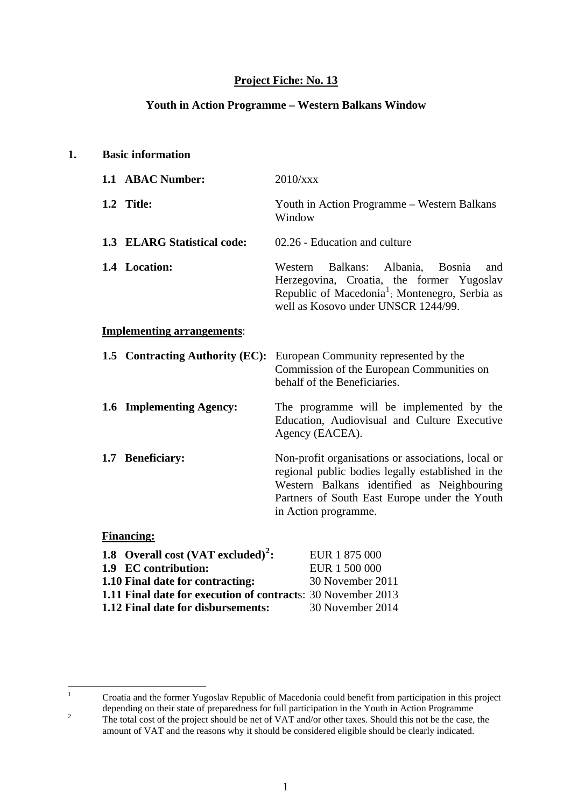### **Project Fiche: No. 13**

#### **Youth in Action Programme – Western Balkans Window**

| 1.1 ABAC Number:<br>2010/xxx<br>1.2 Title:<br>Window<br>1.3 ELARG Statistical code:<br>02.26 - Education and culture<br>1.4 Location:<br>Balkans:<br>Western<br>well as Kosovo under UNSCR 1244/99.<br><b>Implementing arrangements:</b><br>1.5 Contracting Authority (EC):<br>European Community represented by the<br>behalf of the Beneficiaries.<br>1.6 Implementing Agency:<br>Agency (EACEA). |                                                                                                                                                                                                        |
|-----------------------------------------------------------------------------------------------------------------------------------------------------------------------------------------------------------------------------------------------------------------------------------------------------------------------------------------------------------------------------------------------------|--------------------------------------------------------------------------------------------------------------------------------------------------------------------------------------------------------|
|                                                                                                                                                                                                                                                                                                                                                                                                     |                                                                                                                                                                                                        |
|                                                                                                                                                                                                                                                                                                                                                                                                     | Youth in Action Programme - Western Balkans                                                                                                                                                            |
|                                                                                                                                                                                                                                                                                                                                                                                                     |                                                                                                                                                                                                        |
|                                                                                                                                                                                                                                                                                                                                                                                                     | Albania,<br><b>Bosnia</b><br>and<br>Herzegovina, Croatia, the former Yugoslav<br>Republic of Macedonia <sup>1</sup> ; Montenegro, Serbia as                                                            |
|                                                                                                                                                                                                                                                                                                                                                                                                     |                                                                                                                                                                                                        |
|                                                                                                                                                                                                                                                                                                                                                                                                     | Commission of the European Communities on                                                                                                                                                              |
|                                                                                                                                                                                                                                                                                                                                                                                                     | The programme will be implemented by the<br>Education, Audiovisual and Culture Executive                                                                                                               |
| 1.7 Beneficiary:<br>in Action programme.                                                                                                                                                                                                                                                                                                                                                            | Non-profit organisations or associations, local or<br>regional public bodies legally established in the<br>Western Balkans identified as Neighbouring<br>Partners of South East Europe under the Youth |
| <b>Financing:</b>                                                                                                                                                                                                                                                                                                                                                                                   |                                                                                                                                                                                                        |
| 1.8 Overall cost (VAT excluded) <sup>2</sup> :<br>EUR 1 875 000<br>1.9 EC contribution:<br>EUR 1 500 000<br>1.10 Final date for contracting:<br>30 November 2011                                                                                                                                                                                                                                    |                                                                                                                                                                                                        |
| 1.11 Final date for execution of contracts: 30 November 2013<br>1.12 Final date for disbursements:<br>30 November 2014                                                                                                                                                                                                                                                                              |                                                                                                                                                                                                        |

<span id="page-0-1"></span><span id="page-0-0"></span> $\frac{1}{1}$  Croatia and the former Yugoslav Republic of Macedonia could benefit from participation in this project depending on their state of preparedness for full participation in the Youth in Action Programme 2 The total cost of the project should be net of VAT and/or other taxes. Should this not be the case, the amount of VAT and the reasons why it should be considered eligible should be clearly indicated.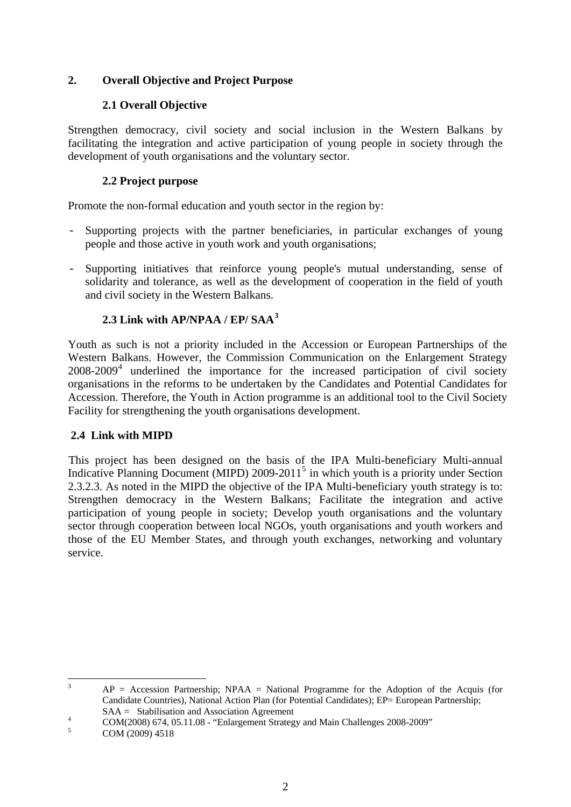# **2. Overall Objective and Project Purpose**

# **2.1 Overall Objective**

Strengthen democracy, civil society and social inclusion in the Western Balkans by facilitating the integration and active participation of young people in society through the development of youth organisations and the voluntary sector.

# **2.2 Project purpose**

Promote the non-formal education and youth sector in the region by:

- Supporting projects with the partner beneficiaries, in particular exchanges of young people and those active in youth work and youth organisations;
- Supporting initiatives that reinforce young people's mutual understanding, sense of solidarity and tolerance, as well as the development of cooperation in the field of youth and civil society in the Western Balkans.

# **2.3 Link with AP/NPAA / EP/ SAA[3](#page-1-0)**

Youth as such is not a priority included in the Accession or European Partnerships of the Western Balkans. However, the Commission Communication on the Enlargement Strategy 2008-2009<sup>[4](#page-1-1)</sup> underlined the importance for the increased participation of civil society organisations in the reforms to be undertaken by the Candidates and Potential Candidates for Accession. Therefore, the Youth in Action programme is an additional tool to the Civil Society Facility for strengthening the youth organisations development.

# **2.4 Link with MIPD**

This project has been designed on the basis of the IPA Multi-beneficiary Multi-annual Indicative Planning Document (MIPD) 2009-2011<sup>[5](#page-1-2)</sup> in which youth is a priority under Section 2.3.2.3. As noted in the MIPD the objective of the IPA Multi-beneficiary youth strategy is to: Strengthen democracy in the Western Balkans; Facilitate the integration and active participation of young people in society; Develop youth organisations and the voluntary sector through cooperation between local NGOs, youth organisations and youth workers and those of the EU Member States, and through youth exchanges, networking and voluntary service.

 $\frac{1}{3}$  $AP = Accession$  Partnership;  $NPAA = National Programme$  for the Adoption of the Acquis (for Candidate Countries), National Action Plan (for Potential Candidates); EP= European Partnership; SAA = Stabilisation and Association Agreement

<span id="page-1-2"></span><span id="page-1-1"></span><span id="page-1-0"></span>5 COM (2009) 4518

<sup>4</sup> COM(2008) 674, 05.11.08 - "Enlargement Strategy and Main Challenges 2008-2009"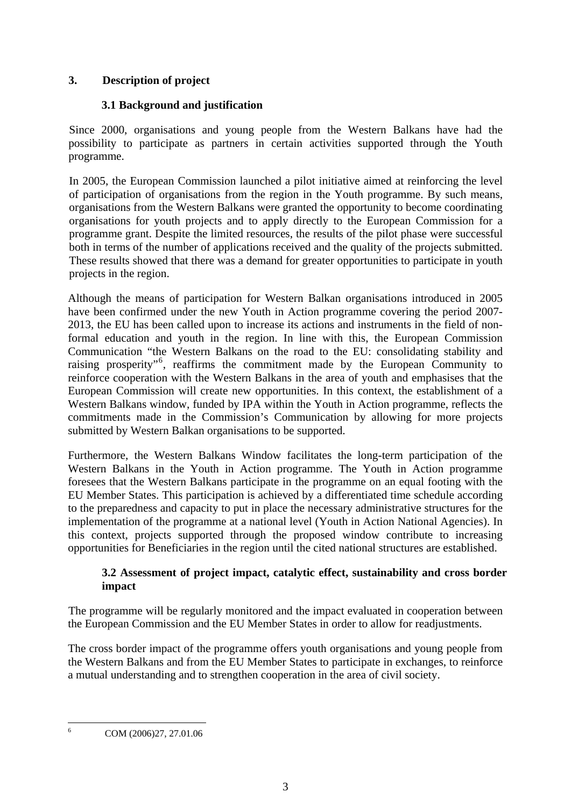# **3. Description of project**

# **3.1 Background and justification**

Since 2000, organisations and young people from the Western Balkans have had the possibility to participate as partners in certain activities supported through the Youth programme.

In 2005, the European Commission launched a pilot initiative aimed at reinforcing the level of participation of organisations from the region in the Youth programme. By such means, organisations from the Western Balkans were granted the opportunity to become coordinating organisations for youth projects and to apply directly to the European Commission for a programme grant. Despite the limited resources, the results of the pilot phase were successful both in terms of the number of applications received and the quality of the projects submitted. These results showed that there was a demand for greater opportunities to participate in youth projects in the region.

Although the means of participation for Western Balkan organisations introduced in 2005 have been confirmed under the new Youth in Action programme covering the period 2007- 2013, the EU has been called upon to increase its actions and instruments in the field of nonformal education and youth in the region. In line with this, the European Commission Communication "the Western Balkans on the road to the EU: consolidating stability and raising prosperity"<sup>[6](#page-2-0)</sup>, reaffirms the commitment made by the European Community to reinforce cooperation with the Western Balkans in the area of youth and emphasises that the European Commission will create new opportunities. In this context, the establishment of a Western Balkans window, funded by IPA within the Youth in Action programme, reflects the commitments made in the Commission's Communication by allowing for more projects submitted by Western Balkan organisations to be supported.

Furthermore, the Western Balkans Window facilitates the long-term participation of the Western Balkans in the Youth in Action programme. The Youth in Action programme foresees that the Western Balkans participate in the programme on an equal footing with the EU Member States. This participation is achieved by a differentiated time schedule according to the preparedness and capacity to put in place the necessary administrative structures for the implementation of the programme at a national level (Youth in Action National Agencies). In this context, projects supported through the proposed window contribute to increasing opportunities for Beneficiaries in the region until the cited national structures are established.

# **3.2 Assessment of project impact, catalytic effect, sustainability and cross border impact**

The programme will be regularly monitored and the impact evaluated in cooperation between the European Commission and the EU Member States in order to allow for readjustments.

The cross border impact of the programme offers youth organisations and young people from the Western Balkans and from the EU Member States to participate in exchanges, to reinforce a mutual understanding and to strengthen cooperation in the area of civil society.

<span id="page-2-0"></span> $\frac{1}{6}$ COM (2006)27, 27.01.06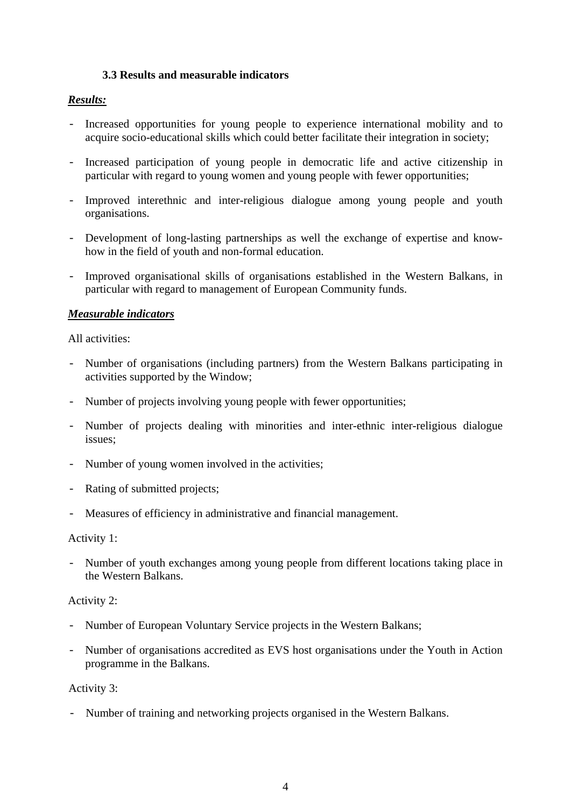#### **3.3 Results and measurable indicators**

### *Results:*

- Increased opportunities for young people to experience international mobility and to acquire socio-educational skills which could better facilitate their integration in society;
- Increased participation of young people in democratic life and active citizenship in particular with regard to young women and young people with fewer opportunities;
- Improved interethnic and inter-religious dialogue among young people and youth organisations.
- Development of long-lasting partnerships as well the exchange of expertise and knowhow in the field of youth and non-formal education.
- Improved organisational skills of organisations established in the Western Balkans, in particular with regard to management of European Community funds.

#### *Measurable indicators*

All activities:

- Number of organisations (including partners) from the Western Balkans participating in activities supported by the Window;
- Number of projects involving young people with fewer opportunities;
- Number of projects dealing with minorities and inter-ethnic inter-religious dialogue issues;
- Number of young women involved in the activities;
- Rating of submitted projects;
- Measures of efficiency in administrative and financial management.

#### Activity 1:

- Number of youth exchanges among young people from different locations taking place in the Western Balkans.

#### Activity 2:

- Number of European Voluntary Service projects in the Western Balkans;
- Number of organisations accredited as EVS host organisations under the Youth in Action programme in the Balkans.

### Activity 3:

- Number of training and networking projects organised in the Western Balkans.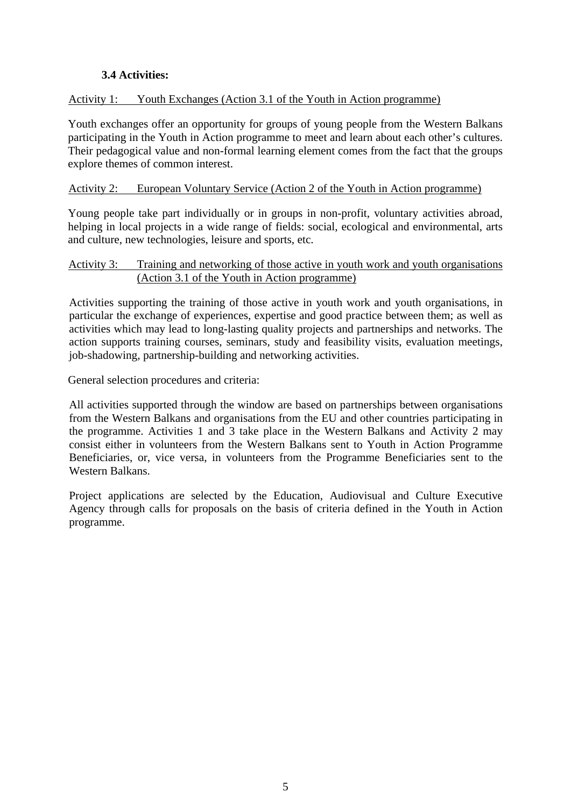# **3.4 Activities:**

### Activity 1: Youth Exchanges (Action 3.1 of the Youth in Action programme)

Youth exchanges offer an opportunity for groups of young people from the Western Balkans participating in the Youth in Action programme to meet and learn about each other's cultures. Their pedagogical value and non-formal learning element comes from the fact that the groups explore themes of common interest.

#### Activity 2: European Voluntary Service (Action 2 of the Youth in Action programme)

Young people take part individually or in groups in non-profit, voluntary activities abroad, helping in local projects in a wide range of fields: social, ecological and environmental, arts and culture, new technologies, leisure and sports, etc.

#### Activity 3: Training and networking of those active in youth work and youth organisations (Action 3.1 of the Youth in Action programme)

Activities supporting the training of those active in youth work and youth organisations, in particular the exchange of experiences, expertise and good practice between them; as well as activities which may lead to long-lasting quality projects and partnerships and networks. The action supports training courses, seminars, study and feasibility visits, evaluation meetings, job-shadowing, partnership-building and networking activities.

General selection procedures and criteria:

All activities supported through the window are based on partnerships between organisations from the Western Balkans and organisations from the EU and other countries participating in the programme. Activities 1 and 3 take place in the Western Balkans and Activity 2 may consist either in volunteers from the Western Balkans sent to Youth in Action Programme Beneficiaries, or, vice versa, in volunteers from the Programme Beneficiaries sent to the Western Balkans.

Project applications are selected by the Education, Audiovisual and Culture Executive Agency through calls for proposals on the basis of criteria defined in the Youth in Action programme.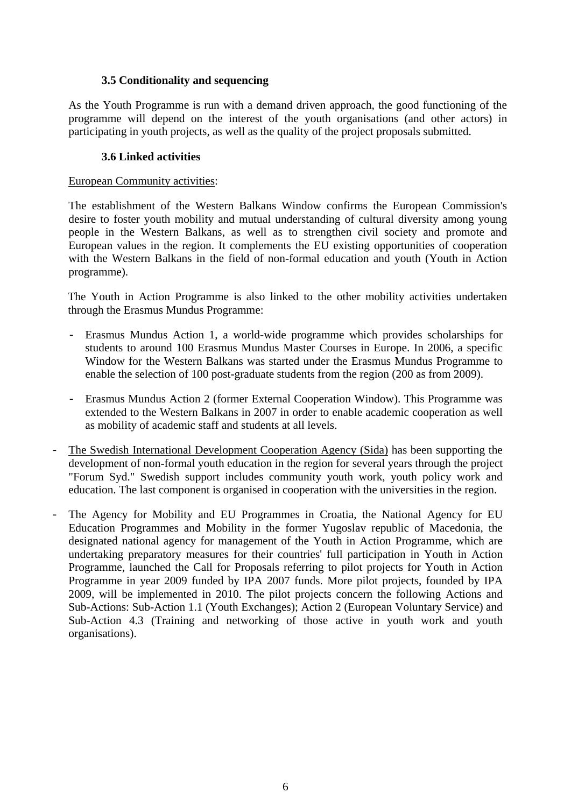#### **3.5 Conditionality and sequencing**

As the Youth Programme is run with a demand driven approach, the good functioning of the programme will depend on the interest of the youth organisations (and other actors) in participating in youth projects, as well as the quality of the project proposals submitted.

### **3.6 Linked activities**

#### European Community activities:

The establishment of the Western Balkans Window confirms the European Commission's desire to foster youth mobility and mutual understanding of cultural diversity among young people in the Western Balkans, as well as to strengthen civil society and promote and European values in the region. It complements the EU existing opportunities of cooperation with the Western Balkans in the field of non-formal education and youth (Youth in Action programme).

The Youth in Action Programme is also linked to the other mobility activities undertaken through the Erasmus Mundus Programme:

- Erasmus Mundus Action 1, a world-wide programme which provides scholarships for students to around 100 Erasmus Mundus Master Courses in Europe. In 2006, a specific Window for the Western Balkans was started under the Erasmus Mundus Programme to enable the selection of 100 post-graduate students from the region (200 as from 2009).
- Erasmus Mundus Action 2 (former External Cooperation Window). This Programme was extended to the Western Balkans in 2007 in order to enable academic cooperation as well as mobility of academic staff and students at all levels.
- The Swedish International Development Cooperation Agency (Sida) has been supporting the development of non-formal youth education in the region for several years through the project "Forum Syd." Swedish support includes community youth work, youth policy work and education. The last component is organised in cooperation with the universities in the region.
- The Agency for Mobility and EU Programmes in Croatia, the National Agency for EU Education Programmes and Mobility in the former Yugoslav republic of Macedonia, the designated national agency for management of the Youth in Action Programme, which are undertaking preparatory measures for their countries' full participation in Youth in Action Programme, launched the Call for Proposals referring to pilot projects for Youth in Action Programme in year 2009 funded by IPA 2007 funds. More pilot projects, founded by IPA 2009, will be implemented in 2010. The pilot projects concern the following Actions and Sub-Actions: Sub-Action 1.1 (Youth Exchanges); Action 2 (European Voluntary Service) and Sub-Action 4.3 (Training and networking of those active in youth work and youth organisations).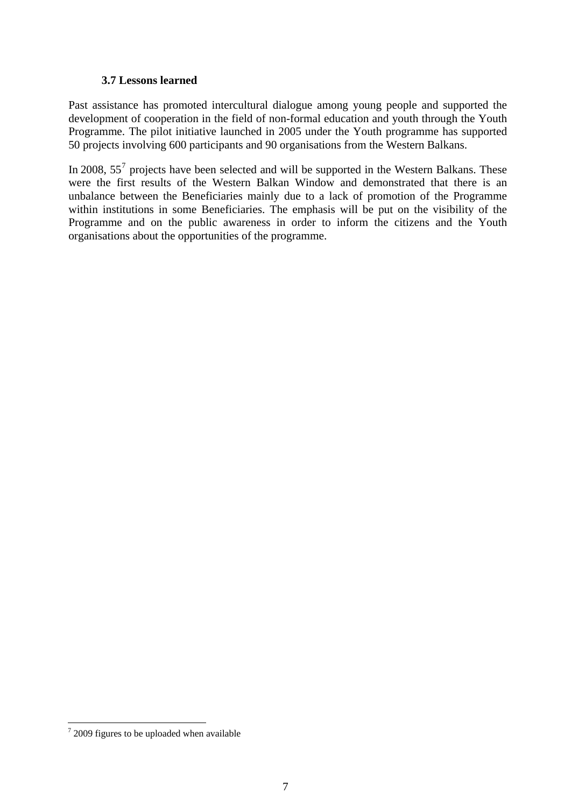#### **3.7 Lessons learned**

<span id="page-6-0"></span>Past assistance has promoted intercultural dialogue among young people and supported the development of cooperation in the field of non-formal education and youth through the Youth Programme. The pilot initiative launched in 2005 under the Youth programme has supported 50 projects involving 600 participants and 90 organisations from the Western Balkans.

In 2008,  $55<sup>7</sup>$  $55<sup>7</sup>$  $55<sup>7</sup>$  projects have been selected and will be supported in the Western Balkans. These were the first results of the Western Balkan Window and demonstrated that there is an unbalance between the Beneficiaries mainly due to a lack of promotion of the Programme within institutions in some Beneficiaries. The emphasis will be put on the visibility of the Programme and on the public awareness in order to inform the citizens and the Youth organisations about the opportunities of the programme.

<sup>&</sup>lt;sup>7</sup> 2009 figures to be uploaded when available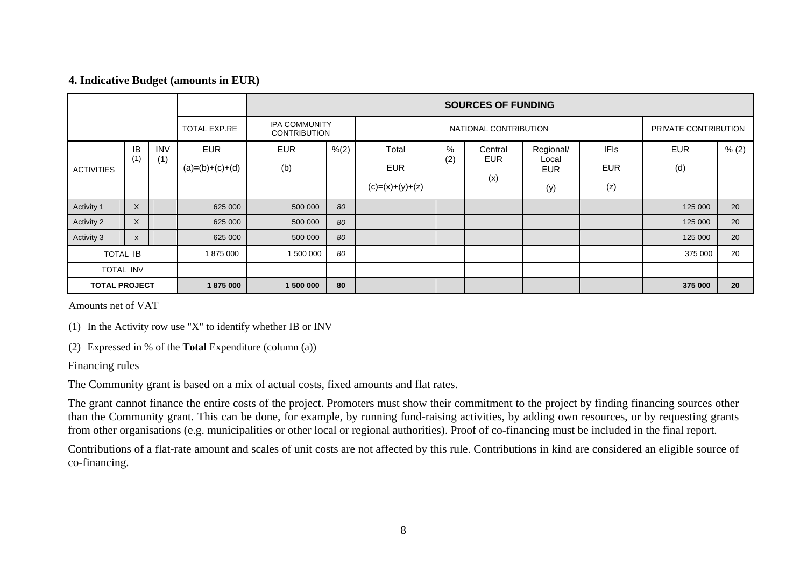#### **4. Indicative Budget (amounts in EUR)**

|                      |                                                                    |                   |                                 | <b>SOURCES OF FUNDING</b> |                       |                                          |          |                              |                                         |                                  |                   |       |
|----------------------|--------------------------------------------------------------------|-------------------|---------------------------------|---------------------------|-----------------------|------------------------------------------|----------|------------------------------|-----------------------------------------|----------------------------------|-------------------|-------|
|                      | <b>IPA COMMUNITY</b><br><b>TOTAL EXP.RE</b><br><b>CONTRIBUTION</b> |                   |                                 |                           | NATIONAL CONTRIBUTION |                                          |          |                              | PRIVATE CONTRIBUTION                    |                                  |                   |       |
| <b>ACTIVITIES</b>    | IB<br>(1)                                                          | <b>INV</b><br>(1) | <b>EUR</b><br>$(a)=(b)+(c)+(d)$ | <b>EUR</b><br>(b)         | % (2)                 | Total<br><b>EUR</b><br>$(c)=(x)+(y)+(z)$ | %<br>(2) | Central<br><b>EUR</b><br>(x) | Regional/<br>Local<br><b>EUR</b><br>(y) | <b>IFIs</b><br><b>EUR</b><br>(z) | <b>EUR</b><br>(d) | % (2) |
| Activity 1           | $\times$                                                           |                   | 625 000                         | 500 000                   | 80                    |                                          |          |                              |                                         |                                  | 125 000           | 20    |
| Activity 2           | $\sf X$                                                            |                   | 625 000                         | 500 000                   | 80                    |                                          |          |                              |                                         |                                  | 125 000           | 20    |
| Activity 3           | $\pmb{\chi}$                                                       |                   | 625 000                         | 500 000                   | 80                    |                                          |          |                              |                                         |                                  | 125 000           | 20    |
| <b>TOTAL IB</b>      |                                                                    |                   | 1875000                         | 1 500 000                 | 80                    |                                          |          |                              |                                         |                                  | 375 000           | 20    |
| TOTAL INV            |                                                                    |                   |                                 |                           |                       |                                          |          |                              |                                         |                                  |                   |       |
| <b>TOTAL PROJECT</b> |                                                                    |                   | 1875000                         | 80<br>1 500 000           |                       |                                          |          |                              |                                         | 375 000                          | 20                |       |

Amounts net of VAT

(1) In the Activity row use "X" to identify whether IB or INV

(2) Expressed in % of the **Total** Expenditure (column (a))

#### Financing rules

The Community grant is based on a mix of actual costs, fixed amounts and flat rates.

The grant cannot finance the entire costs of the project. Promoters must show their commitment to the project by finding financing sources other than the Community grant. This can be done, for example, by running fund-raising activities, by adding own resources, or by requesting grants from other organisations (e.g. municipalities or other local or regional authorities). Proof of co-financing must be included in the final report.

Contributions of a flat-rate amount and scales of unit costs are not affected by this rule. Contributions in kind are considered an eligible source of co-financing.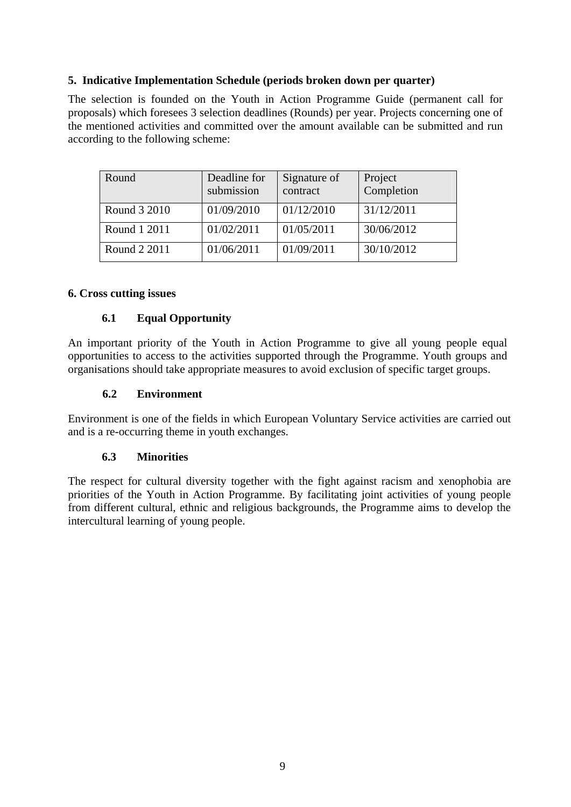### **5. Indicative Implementation Schedule (periods broken down per quarter)**

The selection is founded on the Youth in Action Programme Guide (permanent call for proposals) which foresees 3 selection deadlines (Rounds) per year. Projects concerning one of the mentioned activities and committed over the amount available can be submitted and run according to the following scheme:

| Round        | Deadline for<br>submission | Signature of<br>contract | Project<br>Completion |
|--------------|----------------------------|--------------------------|-----------------------|
| Round 3 2010 | 01/09/2010                 | 01/12/2010               | 31/12/2011            |
| Round 1 2011 | 01/02/2011                 | 01/05/2011               | 30/06/2012            |
| Round 2 2011 | 01/06/2011                 | 01/09/2011               | 30/10/2012            |

#### **6. Cross cutting issues**

### **6.1 Equal Opportunity**

An important priority of the Youth in Action Programme to give all young people equal opportunities to access to the activities supported through the Programme. Youth groups and organisations should take appropriate measures to avoid exclusion of specific target groups.

### **6.2 Environment**

Environment is one of the fields in which European Voluntary Service activities are carried out and is a re-occurring theme in youth exchanges.

## **6.3 Minorities**

The respect for cultural diversity together with the fight against racism and xenophobia are priorities of the Youth in Action Programme. By facilitating joint activities of young people from different cultural, ethnic and religious backgrounds, the Programme aims to develop the intercultural learning of young people.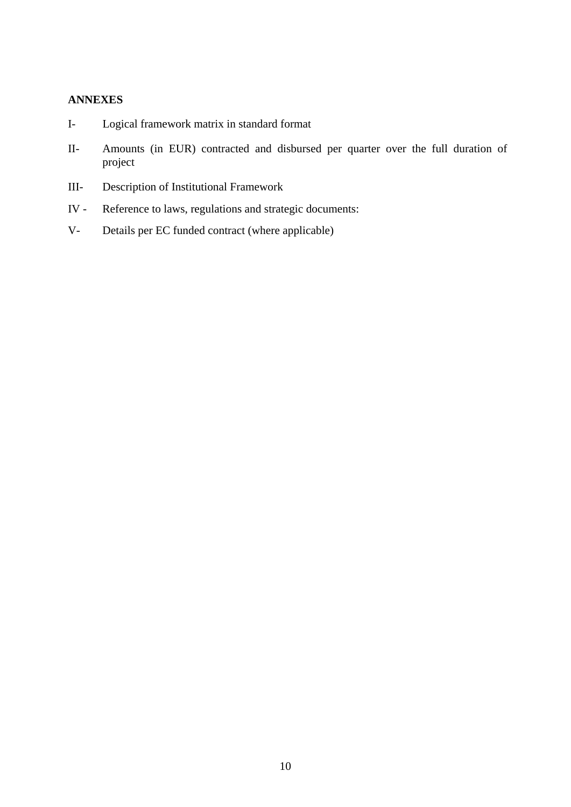#### **ANNEXES**

- I- Logical framework matrix in standard format
- II- Amounts (in EUR) contracted and disbursed per quarter over the full duration of project
- III- Description of Institutional Framework
- IV Reference to laws, regulations and strategic documents:
- V- Details per EC funded contract (where applicable)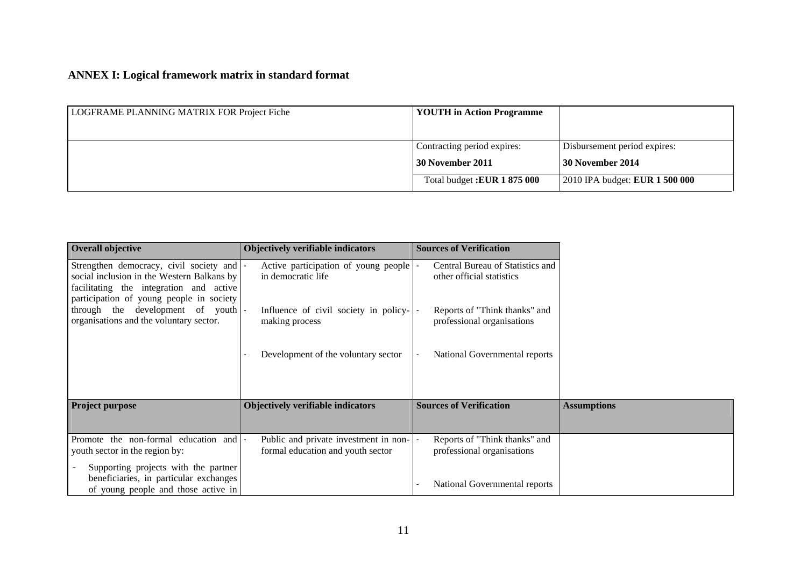# **ANNEX I: Logical framework matrix in standard format**

| LOGFRAME PLANNING MATRIX FOR Project Fiche | <b>YOUTH</b> in Action Programme                |                                                    |
|--------------------------------------------|-------------------------------------------------|----------------------------------------------------|
|                                            | Contracting period expires:<br>30 November 2011 | Disbursement period expires:<br>  30 November 2014 |
|                                            | Total budget: EUR 1 875 000                     | 2010 IPA budget: <b>EUR 1 500 000</b>              |

| Overall objective                                                                                                                                                            | <b>Objectively verifiable indicators</b>                                   | <b>Sources of Verification</b>                                |
|------------------------------------------------------------------------------------------------------------------------------------------------------------------------------|----------------------------------------------------------------------------|---------------------------------------------------------------|
| Strengthen democracy, civil society and<br>social inclusion in the Western Balkans by<br>facilitating the integration and active<br>participation of young people in society | Active participation of young people<br>in democratic life                 | Central Bureau of Statistics and<br>other official statistics |
| through the development of youth  -<br>organisations and the voluntary sector.                                                                                               | Influence of civil society in policy-<br>making process                    | Reports of "Think thanks" and<br>professional organisations   |
|                                                                                                                                                                              | Development of the voluntary sector                                        | National Governmental reports                                 |
| <b>Project purpose</b>                                                                                                                                                       | <b>Objectively verifiable indicators</b>                                   | <b>Sources of Verification</b>                                |
| Promote the non-formal education and                                                                                                                                         | Public and private investment in non-<br>formal education and youth sector | Reports of "Think thanks" and<br>professional organisations   |
| youth sector in the region by:<br>Supporting projects with the partner<br>beneficiaries, in particular exchanges<br>of young people and those active in                      |                                                                            | National Governmental reports                                 |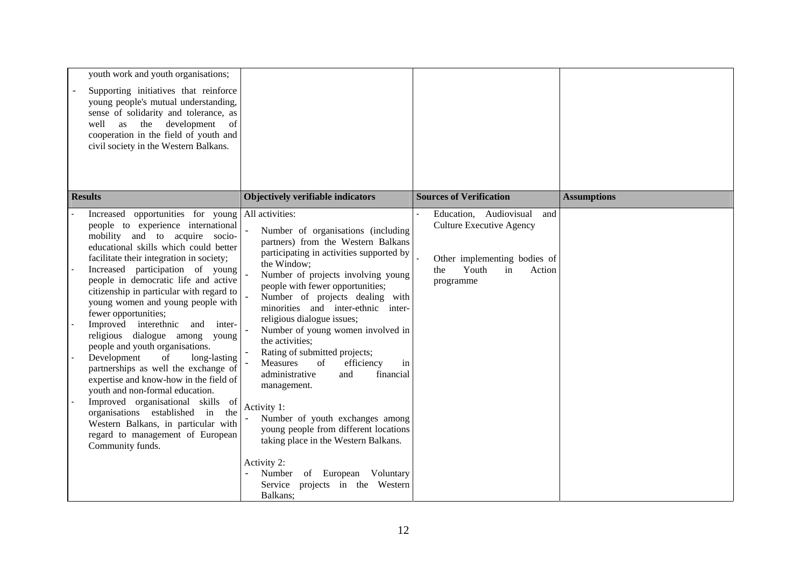| youth work and youth organisations;<br>Supporting initiatives that reinforce<br>young people's mutual understanding,<br>sense of solidarity and tolerance, as<br>the development<br>well as<br><sub>of</sub><br>cooperation in the field of youth and<br>civil society in the Western Balkans.                                                                                                                                                                                                                                                                                                                                                                                                                                                                                                                                         |                                                                                                                                                                                                                                                                                                                                                                                                                                                                                                                                                                                                                                                                                                                                                              |                                                                                                                                               |                    |
|----------------------------------------------------------------------------------------------------------------------------------------------------------------------------------------------------------------------------------------------------------------------------------------------------------------------------------------------------------------------------------------------------------------------------------------------------------------------------------------------------------------------------------------------------------------------------------------------------------------------------------------------------------------------------------------------------------------------------------------------------------------------------------------------------------------------------------------|--------------------------------------------------------------------------------------------------------------------------------------------------------------------------------------------------------------------------------------------------------------------------------------------------------------------------------------------------------------------------------------------------------------------------------------------------------------------------------------------------------------------------------------------------------------------------------------------------------------------------------------------------------------------------------------------------------------------------------------------------------------|-----------------------------------------------------------------------------------------------------------------------------------------------|--------------------|
| <b>Results</b>                                                                                                                                                                                                                                                                                                                                                                                                                                                                                                                                                                                                                                                                                                                                                                                                                         | <b>Objectively verifiable indicators</b>                                                                                                                                                                                                                                                                                                                                                                                                                                                                                                                                                                                                                                                                                                                     | <b>Sources of Verification</b>                                                                                                                | <b>Assumptions</b> |
| Increased opportunities for young<br>people to experience international<br>mobility and to acquire socio-<br>educational skills which could better<br>facilitate their integration in society;<br>Increased participation of young<br>people in democratic life and active<br>citizenship in particular with regard to<br>young women and young people with<br>fewer opportunities;<br>Improved interethnic<br>and inter-<br>religious dialogue among young<br>people and youth organisations.<br>Development<br>of<br>long-lasting<br>partnerships as well the exchange of<br>expertise and know-how in the field of<br>youth and non-formal education.<br>Improved organisational skills of<br>organisations established<br>in<br>the<br>Western Balkans, in particular with<br>regard to management of European<br>Community funds. | All activities:<br>Number of organisations (including<br>partners) from the Western Balkans<br>participating in activities supported by<br>the Window;<br>Number of projects involving young<br>people with fewer opportunities;<br>Number of projects dealing with<br>minorities and inter-ethnic inter-<br>religious dialogue issues;<br>Number of young women involved in<br>the activities;<br>Rating of submitted projects;<br>Measures<br>of<br>efficiency<br>in<br>administrative<br>financial<br>and<br>management.<br>Activity 1:<br>Number of youth exchanges among<br>young people from different locations<br>taking place in the Western Balkans.<br>Activity 2:<br>Number of European Voluntary<br>Service projects in the Western<br>Balkans; | Education, Audiovisual<br>and<br><b>Culture Executive Agency</b><br>Other implementing bodies of<br>Youth<br>in<br>the<br>Action<br>programme |                    |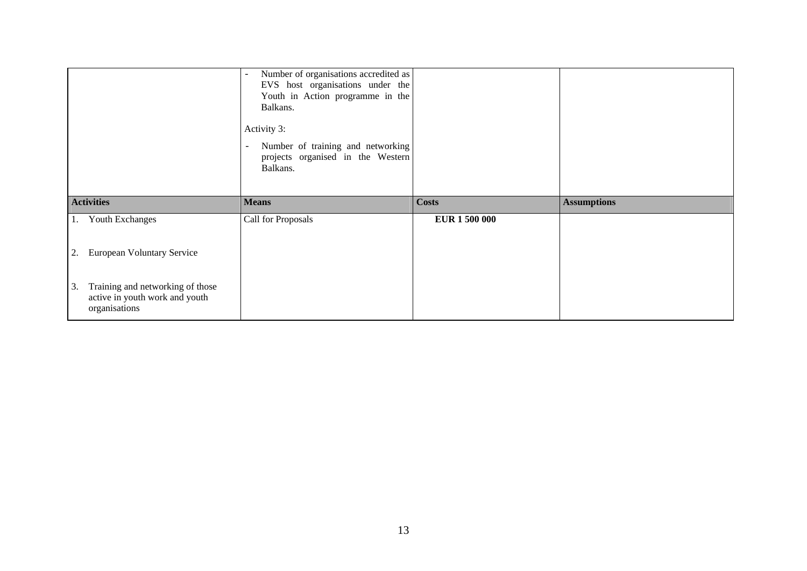|    |                               | Number of organisations accredited as<br>$\overline{\phantom{m}}$<br>EVS host organisations under the<br>Youth in Action programme in the<br>Balkans.<br>Activity 3:<br>Number of training and networking<br>$-$<br>projects organised in the Western<br>Balkans. |                      |                    |
|----|-------------------------------|-------------------------------------------------------------------------------------------------------------------------------------------------------------------------------------------------------------------------------------------------------------------|----------------------|--------------------|
|    |                               |                                                                                                                                                                                                                                                                   |                      |                    |
|    | <b>Activities</b>             | <b>Means</b>                                                                                                                                                                                                                                                      | <b>Costs</b>         | <b>Assumptions</b> |
| 1. | Youth Exchanges               | Call for Proposals                                                                                                                                                                                                                                                | <b>EUR 1 500 000</b> |                    |
|    | 2. European Voluntary Service |                                                                                                                                                                                                                                                                   |                      |                    |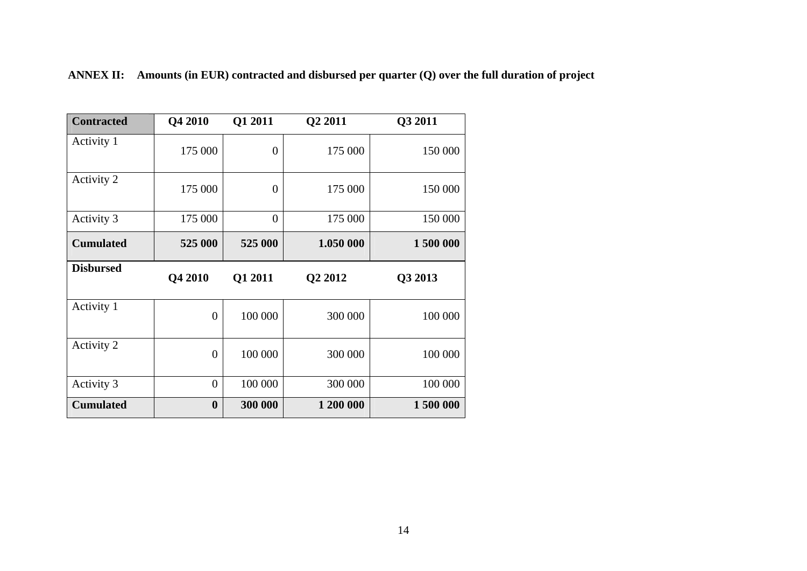| <b>Contracted</b> | Q4 2010        | Q1 2011        | Q2 2011   | Q3 2011  |
|-------------------|----------------|----------------|-----------|----------|
| Activity 1        | 175 000        | $\overline{0}$ | 175 000   | 150 000  |
| Activity 2        | 175 000        | $\overline{0}$ | 175 000   | 150 000  |
| Activity 3        | 175 000        | $\theta$       | 175 000   | 150 000  |
| <b>Cumulated</b>  | 525 000        | 525 000        | 1.050 000 | 1500 000 |
| <b>Disbursed</b>  | Q4 2010        | Q1 2011        | Q2 2012   | Q3 2013  |
| Activity 1        | $\overline{0}$ | 100 000        | 300 000   | 100 000  |
|                   |                |                |           |          |
| Activity 2        | $\overline{0}$ | 100 000        | 300 000   | 100 000  |
| Activity 3        | $\overline{0}$ | 100 000        | 300 000   | 100 000  |

**ANNEX II: Amounts (in EUR) contracted and disbursed per quarter (Q) over the full duration of project**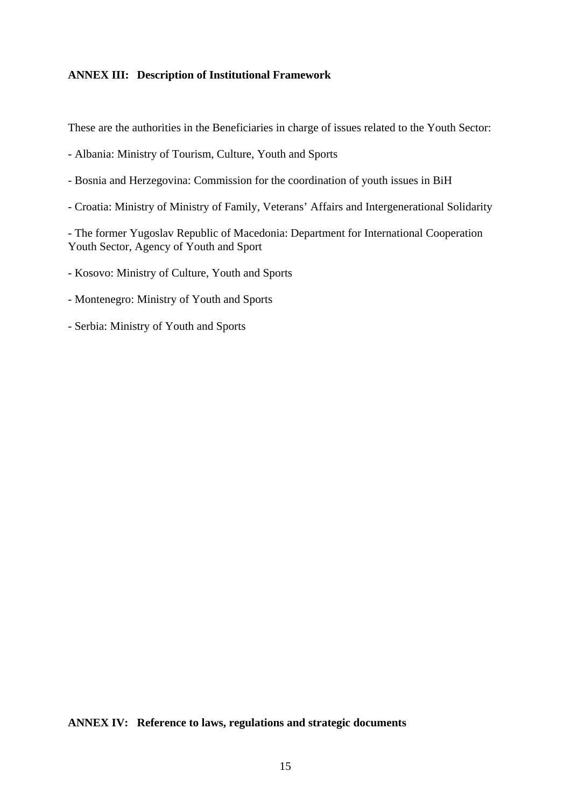# **ANNEX III: Description of Institutional Framework**

These are the authorities in the Beneficiaries in charge of issues related to the Youth Sector:

- Albania: Ministry of Tourism, Culture, Youth and Sports
- Bosnia and Herzegovina: Commission for the coordination of youth issues in BiH
- Croatia: Ministry of Ministry of Family, Veterans' Affairs and Intergenerational Solidarity

- The former Yugoslav Republic of Macedonia: Department for International Cooperation Youth Sector, Agency of Youth and Sport

- Kosovo: Ministry of Culture, Youth and Sports
- Montenegro: Ministry of Youth and Sports
- Serbia: Ministry of Youth and Sports

#### **ANNEX IV: Reference to laws, regulations and strategic documents**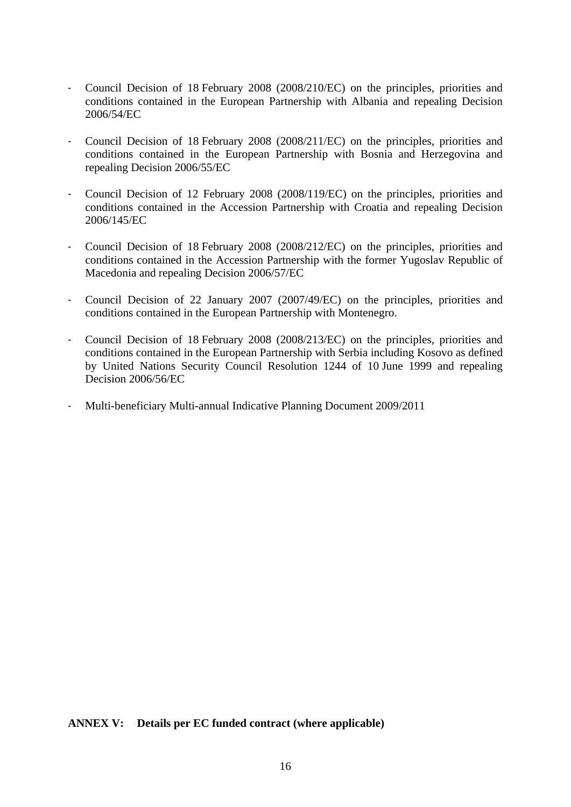- Council Decision of 18 February 2008 (2008/210/EC) on the principles, priorities and conditions contained in the European Partnership with Albania and repealing Decision 2006/54/EC
- Council Decision of 18 February 2008 (2008/211/EC) on the principles, priorities and conditions contained in the European Partnership with Bosnia and Herzegovina and repealing Decision 2006/55/EC
- Council Decision of 12 February 2008 (2008/119/EC) on the principles, priorities and conditions contained in the Accession Partnership with Croatia and repealing Decision 2006/145/EC
- Council Decision of 18 February 2008 (2008/212/EC) on the principles, priorities and conditions contained in the Accession Partnership with the former Yugoslav Republic of Macedonia and repealing Decision 2006/57/EC
- Council Decision of 22 January 2007 (2007/49/EC) on the principles, priorities and conditions contained in the European Partnership with Montenegro.
- Council Decision of 18 February 2008 (2008/213/EC) on the principles, priorities and conditions contained in the European Partnership with Serbia including Kosovo as defined by United Nations Security Council Resolution 1244 of 10 June 1999 and repealing Decision 2006/56/EC
- Multi-beneficiary Multi-annual Indicative Planning Document 2009/2011

#### **ANNEX V: Details per EC funded contract (where applicable)**